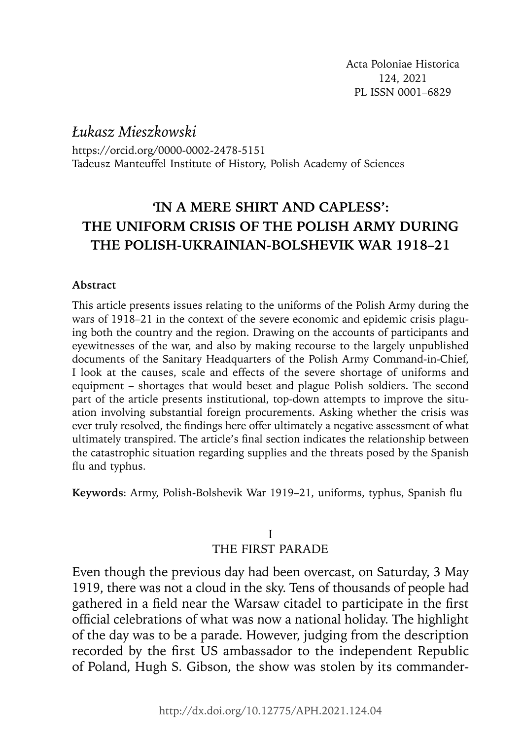*Łukasz Mieszkowski*

https://orcid.org/0000-0002-2478-5151 Tadeusz Manteuffel Institute of History, Polish Academy of Sciences

# *'***IN A MERE SHIRT AND CAPLESS': THE UNIFORM CRISIS OF THE POLISH ARMY DURING THE POLISH-UKRAINIAN-BOLSHEVIK WAR 1918–21**

# **Abstract**

This article presents issues relating to the uniforms of the Polish Army during the wars of 1918–21 in the context of the severe economic and epidemic crisis plaguing both the country and the region. Drawing on the accounts of participants and eyewitnesses of the war, and also by making recourse to the largely unpublished documents of the Sanitary Headquarters of the Polish Army Command-in-Chief, I look at the causes, scale and effects of the severe shortage of uniforms and equipment – shortages that would beset and plague Polish soldiers. The second part of the article presents institutional, top-down attempts to improve the situation involving substantial foreign procurements. Asking whether the crisis was ever truly resolved, the findings here offer ultimately a negative assessment of what ultimately transpired. The article's final section indicates the relationship between the catastrophic situation regarding supplies and the threats posed by the Spanish flu and typhus.

Keywords: Army, Polish-Bolshevik War 1919–21, uniforms, typhus, Spanish flu

# I THE FIRST PARADE

Even though the previous day had been overcast, on Saturday, 3 May 1919, there was not a cloud in the sky. Tens of thousands of people had gathered in a field near the Warsaw citadel to participate in the first official celebrations of what was now a national holiday. The highlight of the day was to be a parade. However, judging from the description recorded by the first US ambassador to the independent Republic of Poland, Hugh S. Gibson, the show was stolen by its commander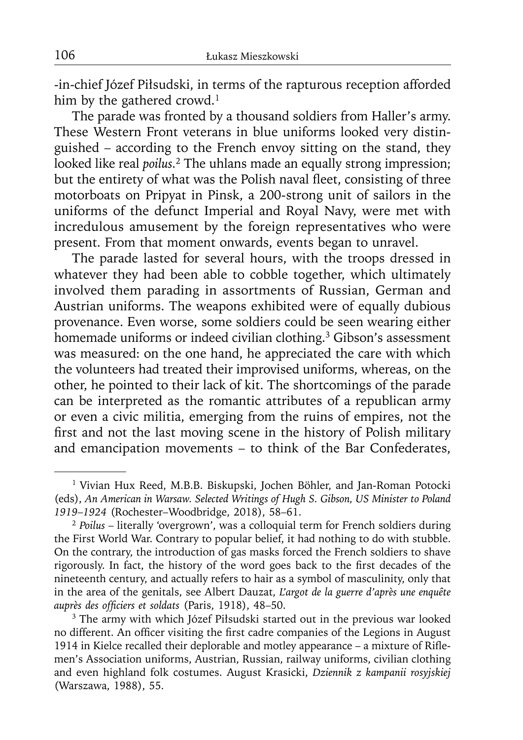-in-chief Józef Piłsudski, in terms of the rapturous reception afforded him by the gathered crowd.<sup>1</sup>

The parade was fronted by a thousand soldiers from Haller's army. These Western Front veterans in blue uniforms looked very distinguished – according to the French envoy sitting on the stand, they looked like real *poilus.*2 The uhlans made an equally strong impression; but the entirety of what was the Polish naval fleet, consisting of three motorboats on Pripyat in Pinsk, a 200-strong unit of sailors in the uniforms of the defunct Imperial and Royal Navy, were met with incredulous amusement by the foreign representatives who were present. From that moment onwards, events began to unravel.

The parade lasted for several hours, with the troops dressed in whatever they had been able to cobble together, which ultimately involved them parading in assortments of Russian, German and Austrian uniforms. The weapons exhibited were of equally dubious provenance. Even worse, some soldiers could be seen wearing either homemade uniforms or indeed civilian clothing.<sup>3</sup> Gibson's assessment was measured: on the one hand, he appreciated the care with which the volunteers had treated their improvised uniforms, whereas, on the other, he pointed to their lack of kit. The shortcomings of the parade can be interpreted as the romantic attributes of a republican army or even a civic militia, emerging from the ruins of empires, not the first and not the last moving scene in the history of Polish military and emancipation movements – to think of the Bar Confederates,

<sup>&</sup>lt;sup>1</sup> Vivian Hux Reed, M.B.B. Biskupski, Jochen Böhler, and Jan-Roman Potocki (eds), *An American in Warsaw. Selected Writings of Hugh S. Gibson, US Minister to Poland <sup>1919</sup>*–*1924* (Rochester–Woodbridge, 2018), 58–61. 2 *Poilus* – literally 'overgrown', was a colloquial term for French soldiers during

the First World War. Contrary to popular belief, it had nothing to do with stubble. On the contrary, the introduction of gas masks forced the French soldiers to shave rigorously. In fact, the history of the word goes back to the first decades of the nineteenth century, and actually refers to hair as a symbol of masculinity, only that in the area of the genitals, see Albert Dauzat, *L'argot de la guerre d'après une enquête* auprès des officiers et soldats (Paris, 1918), 48-50.

<sup>&</sup>lt;sup>3</sup> The army with which Józef Piłsudski started out in the previous war looked no different. An officer visiting the first cadre companies of the Legions in August 1914 in Kielce recalled their deplorable and motley appearance – a mixture of Riflemen's Association uniforms, Austrian, Russian, railway uniforms, civilian clothing and even highland folk costumes. August Krasicki, *Dziennik z kampanii rosyjskiej* (Warszawa, 1988), 55.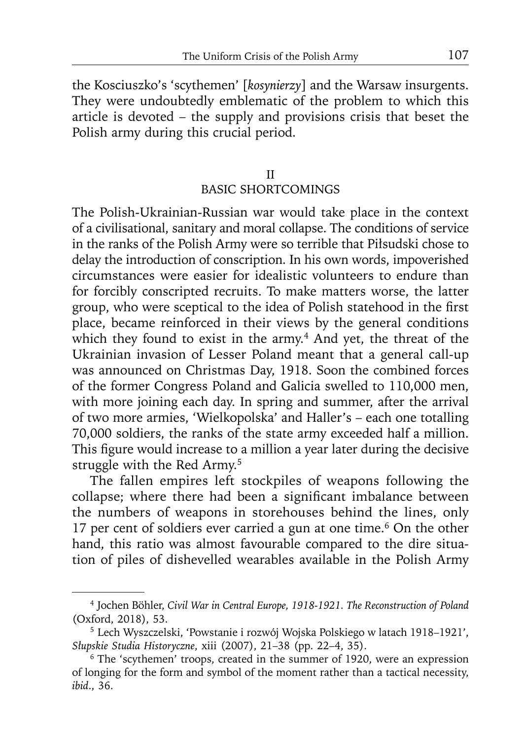the Kosciuszko's 'scythemen' [*kosynierzy*] and the Warsaw insurgents. They were undoubtedly emblematic of the problem to which this article is devoted – the supply and provisions crisis that beset the Polish army during this crucial period.

### II BASIC SHORTCOMINGS

The Polish-Ukrainian-Russian war would take place in the context of a civilisational, sanitary and moral collapse. The conditions of service in the ranks of the Polish Army were so terrible that Piłsudski chose to delay the introduction of conscription. In his own words, impoverished circumstances were easier for idealistic volunteers to endure than for forcibly conscripted recruits. To make matters worse, the latter group, who were sceptical to the idea of Polish statehood in the first place, became reinforced in their views by the general conditions which they found to exist in the army.<sup>4</sup> And yet, the threat of the Ukrainian invasion of Lesser Poland meant that a general call-up was announced on Christmas Day, 1918. Soon the combined forces of the former Congress Poland and Galicia swelled to 110,000 men, with more joining each day. In spring and summer, after the arrival of two more armies, 'Wielkopolska' and Haller's – each one totalling 70,000 soldiers, the ranks of the state army exceeded half a million. This figure would increase to a million a year later during the decisive struggle with the Red Army.<sup>5</sup>

The fallen empires left stockpiles of weapons following the collapse; where there had been a significant imbalance between the numbers of weapons in storehouses behind the lines, only 17 per cent of soldiers ever carried a gun at one time.<sup>6</sup> On the other hand, this ratio was almost favourable compared to the dire situation of piles of dishevelled wearables available in the Polish Army

<sup>4</sup> Jochen Böhler, *Civil War in Central Europe, 1918-1921. The Reconstruction of Poland* (Oxford, 2018), 53.

<sup>5</sup> Lech Wyszczelski, 'Powstanie i rozwój Wojska Polskiego w latach 1918–1921', *Słupskie Studia Historyczne*, xiii (2007), 21–38 (pp. 22–4, 35).

<sup>6</sup> The 'scythemen' troops, created in the summer of 1920, were an expression of longing for the form and symbol of the moment rather than a tactical necessity, *ibid*., 36.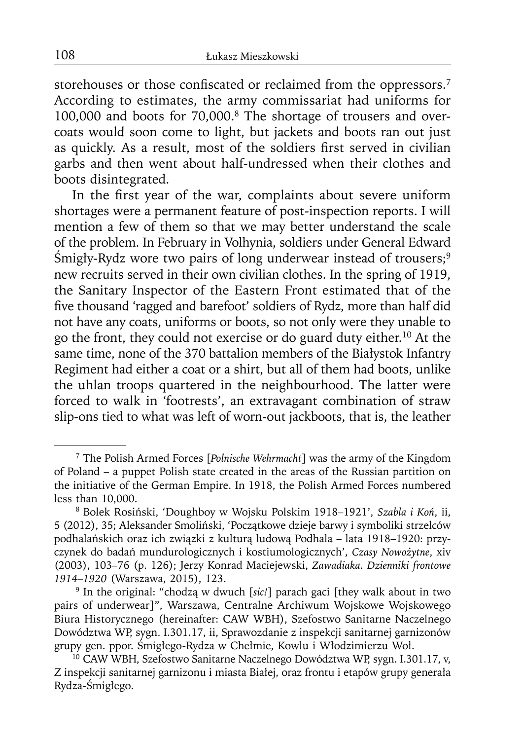storehouses or those confiscated or reclaimed from the oppressors.<sup>7</sup> According to estimates, the army commissariat had uniforms for 100,000 and boots for 70,000.8 The shortage of trousers and overcoats would soon come to light, but jackets and boots ran out just as quickly. As a result, most of the soldiers first served in civilian garbs and then went about half-undressed when their clothes and boots disintegrated.

In the first year of the war, complaints about severe uniform shortages were a permanent feature of post-inspection reports. I will mention a few of them so that we may better understand the scale of the problem. In February in Volhynia, soldiers under General Edward Śmigły-Rydz wore two pairs of long underwear instead of trousers;9 new recruits served in their own civilian clothes. In the spring of 1919, the Sanitary Inspector of the Eastern Front estimated that of the five thousand 'ragged and barefoot' soldiers of Rydz, more than half did not have any coats, uniforms or boots, so not only were they unable to go the front, they could not exercise or do guard duty either.10 At the same time, none of the 370 battalion members of the Białystok Infantry Regiment had either a coat or a shirt, but all of them had boots, unlike the uhlan troops quartered in the neighbourhood. The latter were forced to walk in 'footrests', an extravagant combination of straw slip-ons tied to what was left of worn-out jackboots, that is, the leather

<sup>7</sup> The Polish Armed Forces [*Polnische Wehrmacht*] was the army of the Kingdom of Poland – a puppet Polish state created in the areas of the Russian partition on the initiative of the German Empire. In 1918, the Polish Armed Forces numbered less than 10,000.

<sup>8</sup> Bolek Rosiński, 'Doughboy w Wojsku Polskim 1918–1921', *Szabla i Koń*, ii, 5 (2012), 35; Aleksander Smoliński, 'Początkowe dzieje barwy i symboliki strzelców podhalańskich oraz ich związki z kulturą ludową Podhala – lata 1918–1920: przyczynek do badań mundurologicznych i kostiumologicznych', *Czasy Nowożytne*, xiv (2003), 103–76 (p. 126); Jerzy Konrad Maciejewski, *Zawadiaka. Dzienniki frontowe 1914–1920* (Warszawa, 2015), 123.

<sup>9</sup> In the original: "chodzą w dwuch [*sic!*] parach gaci [they walk about in two pairs of underwear]", Warszawa, Centralne Archiwum Wojskowe Wojskowego Biura Historycznego (hereinafter: CAW WBH), Szefostwo Sanitarne Naczelnego Dowództwa WP, sygn. I.301.17, ii, Sprawozdanie z inspekcji sanitarnej garnizonów

<sup>10</sup> CAW WBH, Szefostwo Sanitarne Naczelnego Dowództwa WP, sygn. I.301.17, v, Z inspekcji sanitarnej garnizonu i miasta Białej, oraz frontu i etapów grupy generała Rydza-Śmigłego.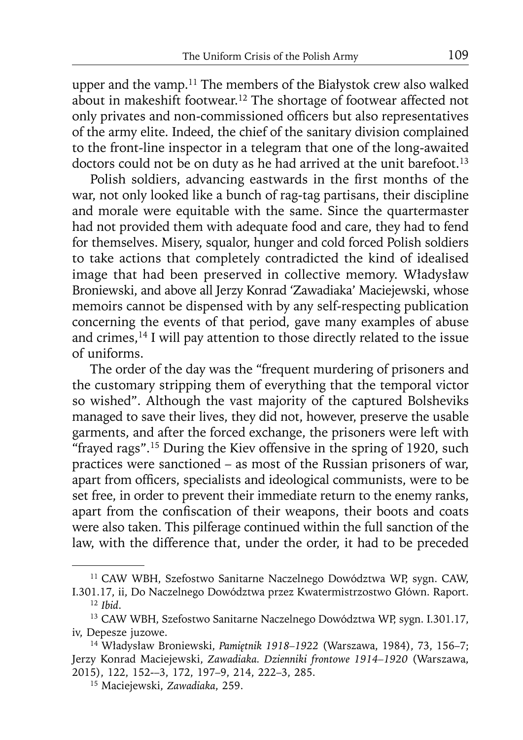upper and the vamp.<sup>11</sup> The members of the Białystok crew also walked about in makeshift footwear.12 The shortage of footwear affected not only privates and non-commissioned officers but also representatives of the army elite. Indeed, the chief of the sanitary division complained to the front-line inspector in a telegram that one of the long-awaited doctors could not be on duty as he had arrived at the unit barefoot.<sup>13</sup>

Polish soldiers, advancing eastwards in the first months of the war, not only looked like a bunch of rag-tag partisans, their discipline and morale were equitable with the same. Since the quartermaster had not provided them with adequate food and care, they had to fend for themselves. Misery, squalor, hunger and cold forced Polish soldiers to take actions that completely contradicted the kind of idealised image that had been preserved in collective memory. Władysław Broniewski, and above all Jerzy Konrad 'Zawadiaka' Maciejewski, whose memoirs cannot be dispensed with by any self-respecting publication concerning the events of that period, gave many examples of abuse and crimes,<sup>14</sup> I will pay attention to those directly related to the issue of uniforms.

The order of the day was the "frequent murdering of prisoners and the customary stripping them of everything that the temporal victor so wished". Although the vast majority of the captured Bolsheviks managed to save their lives, they did not, however, preserve the usable garments, and after the forced exchange, the prisoners were left with "frayed rags".<sup>15</sup> During the Kiev offensive in the spring of 1920, such practices were sanctioned – as most of the Russian prisoners of war, apart from officers, specialists and ideological communists, were to be set free, in order to prevent their immediate return to the enemy ranks, apart from the confiscation of their weapons, their boots and coats were also taken. This pilferage continued within the full sanction of the law, with the difference that, under the order, it had to be preceded

<sup>11</sup> CAW WBH, Szefostwo Sanitarne Naczelnego Dowództwa WP, sygn. CAW, I.301.17, ii, Do Naczelnego Dowództwa przez Kwatermistrzostwo Główn. Raport.

<sup>12</sup>*Ibid*.

<sup>13</sup> CAW WBH, Szefostwo Sanitarne Naczelnego Dowództwa WP, sygn. I.301.17, iv, Depesze juzowe.

<sup>14</sup> Władysław Broniewski, *Pamiętnik 1918–1922* (Warszawa, 1984), 73, 156–7; Jerzy Konrad Maciejewski, *Zawadiaka. Dzienniki frontowe 1914–1920* (Warszawa, 2015), 122, 152-–3, 172, 197–9, 214, 222–3, 285.

<sup>15</sup> Maciejewski, *Zawadiaka*, 259.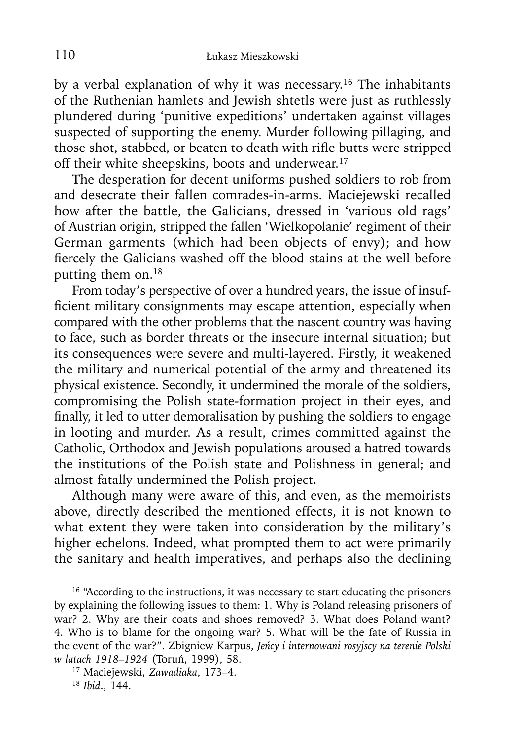by a verbal explanation of why it was necessary.16 The inhabitants of the Ruthenian hamlets and Jewish shtetls were just as ruthlessly plundered during 'punitive expeditions' undertaken against villages suspected of supporting the enemy. Murder following pillaging, and those shot, stabbed, or beaten to death with rifle butts were stripped off their white sheepskins, boots and underwear.<sup>17</sup>

The desperation for decent uniforms pushed soldiers to rob from and desecrate their fallen comrades-in-arms. Maciejewski recalled how after the battle, the Galicians, dressed in 'various old rags' of Austrian origin, stripped the fallen 'Wielkopolanie' regiment of their German garments (which had been objects of envy); and how fiercely the Galicians washed off the blood stains at the well before putting them on.<sup>18</sup>

From today's perspective of over a hundred years, the issue of insufficient military consignments may escape attention, especially when compared with the other problems that the nascent country was having to face, such as border threats or the insecure internal situation; but its consequences were severe and multi-layered. Firstly, it weakened the military and numerical potential of the army and threatened its physical existence. Secondly, it undermined the morale of the soldiers, compromising the Polish state-formation project in their eyes, and finally, it led to utter demoralisation by pushing the soldiers to engage in looting and murder. As a result, crimes committed against the Catholic, Orthodox and Jewish populations aroused a hatred towards the institutions of the Polish state and Polishness in general; and almost fatally undermined the Polish project.

Although many were aware of this, and even, as the memoirists above, directly described the mentioned effects, it is not known to what extent they were taken into consideration by the military's higher echelons. Indeed, what prompted them to act were primarily the sanitary and health imperatives, and perhaps also the declining

<sup>&</sup>lt;sup>16</sup> "According to the instructions, it was necessary to start educating the prisoners by explaining the following issues to them: 1. Why is Poland releasing prisoners of war? 2. Why are their coats and shoes removed? 3. What does Poland want? 4. Who is to blame for the ongoing war? 5. What will be the fate of Russia in the event of the war?". Zbigniew Karpus, *Jeńcy i internowani rosyjscy na terenie Polski w latach 1918–1924* (Toruń, 1999), 58.

<sup>17</sup> Maciejewski, *Zawadiaka*, 173–4.

<sup>18</sup> *Ibid*., 144.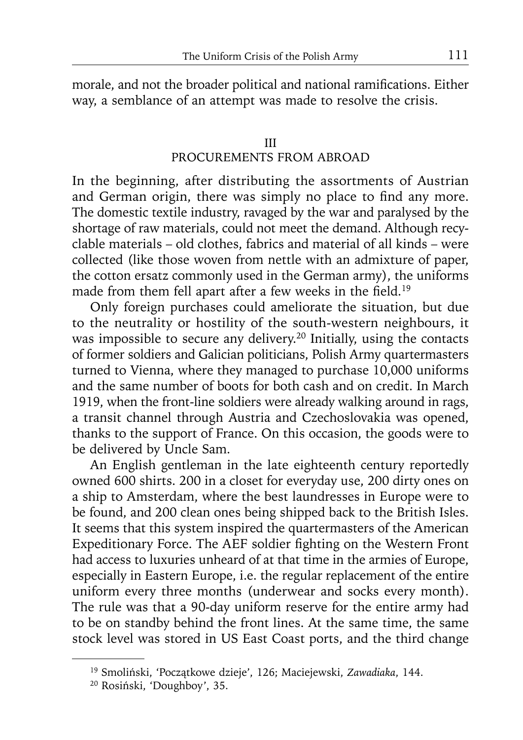morale, and not the broader political and national ramifications. Either way, a semblance of an attempt was made to resolve the crisis.

# III PROCUREMENTS FROM ABROAD

In the beginning, after distributing the assortments of Austrian and German origin, there was simply no place to find any more. The domestic textile industry, ravaged by the war and paralysed by the shortage of raw materials, could not meet the demand. Although recyclable materials – old clothes, fabrics and material of all kinds – were collected (like those woven from nettle with an admixture of paper, the cotton ersatz commonly used in the German army), the uniforms made from them fell apart after a few weeks in the field.<sup>19</sup>

Only foreign purchases could ameliorate the situation, but due to the neutrality or hostility of the south-western neighbours, it was impossible to secure any delivery.<sup>20</sup> Initially, using the contacts of former soldiers and Galician politicians, Polish Army quartermasters turned to Vienna, where they managed to purchase 10,000 uniforms and the same number of boots for both cash and on credit. In March 1919, when the front-line soldiers were already walking around in rags, a transit channel through Austria and Czechoslovakia was opened, thanks to the support of France. On this occasion, the goods were to be delivered by Uncle Sam.

An English gentleman in the late eighteenth century reportedly owned 600 shirts. 200 in a closet for everyday use, 200 dirty ones on a ship to Amsterdam, where the best laundresses in Europe were to be found, and 200 clean ones being shipped back to the British Isles. It seems that this system inspired the quartermasters of the American Expeditionary Force. The AEF soldier fighting on the Western Front had access to luxuries unheard of at that time in the armies of Europe, especially in Eastern Europe, i.e. the regular replacement of the entire uniform every three months (underwear and socks every month). The rule was that a 90-day uniform reserve for the entire army had to be on standby behind the front lines. At the same time, the same stock level was stored in US East Coast ports, and the third change

<sup>19</sup> Smoliński, 'Początkowe dzieje', 126; Maciejewski, *Zawadiaka*, 144.

<sup>20</sup> Rosiński, 'Doughboy', 35.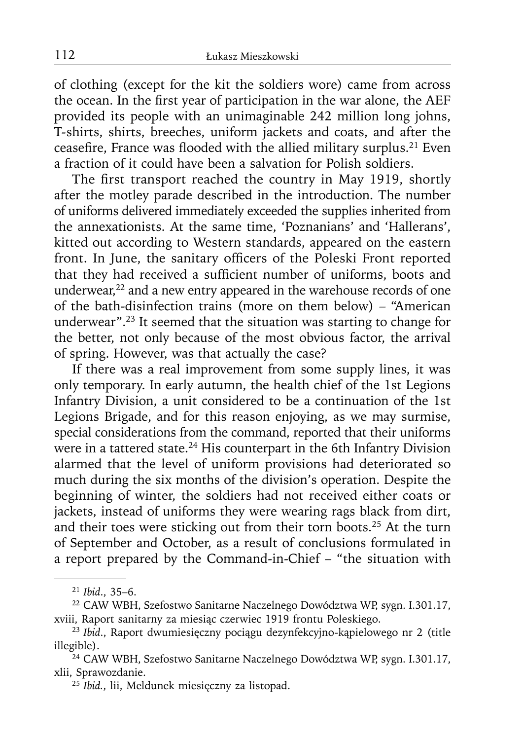of clothing (except for the kit the soldiers wore) came from across the ocean. In the first year of participation in the war alone, the AEF provided its people with an unimaginable 242 million long johns, T-shirts, shirts, breeches, uniform jackets and coats, and after the ceasefire, France was flooded with the allied military surplus.<sup>21</sup> Even a fraction of it could have been a salvation for Polish soldiers.

The first transport reached the country in May 1919, shortly after the motley parade described in the introduction. The number of uniforms delivered immediately exceeded the supplies inherited from the annexationists. At the same time, 'Poznanians' and 'Hallerans', kitted out according to Western standards, appeared on the eastern front. In June, the sanitary officers of the Poleski Front reported that they had received a sufficient number of uniforms, boots and underwear, $22$  and a new entry appeared in the warehouse records of one of the bath-disinfection trains (more on them below) – "American underwear".23 It seemed that the situation was starting to change for the better, not only because of the most obvious factor, the arrival of spring. However, was that actually the case?

If there was a real improvement from some supply lines, it was only temporary. In early autumn, the health chief of the 1st Legions Infantry Division, a unit considered to be a continuation of the 1st Legions Brigade, and for this reason enjoying, as we may surmise, special considerations from the command, reported that their uniforms were in a tattered state.<sup>24</sup> His counterpart in the 6th Infantry Division alarmed that the level of uniform provisions had deteriorated so much during the six months of the division's operation. Despite the beginning of winter, the soldiers had not received either coats or jackets, instead of uniforms they were wearing rags black from dirt, and their toes were sticking out from their torn boots.<sup>25</sup> At the turn of September and October, as a result of conclusions formulated in a report prepared by the Command-in-Chief – "the situation with

<sup>21</sup>*Ibid*., 35–6.

<sup>22</sup> CAW WBH, Szefostwo Sanitarne Naczelnego Dowództwa WP, sygn. I.301.17, xviii, Raport sanitarny za miesiąc czerwiec 1919 frontu Poleskiego.

<sup>23</sup>*Ibid*., Raport dwumiesięczny pociągu dezynfekcyjno-kąpielowego nr 2 (title illegible).

<sup>24</sup> CAW WBH, Szefostwo Sanitarne Naczelnego Dowództwa WP, sygn. I.301.17, xlii, Sprawozdanie.

<sup>25</sup> *Ibid.*, lii, Meldunek miesięczny za listopad.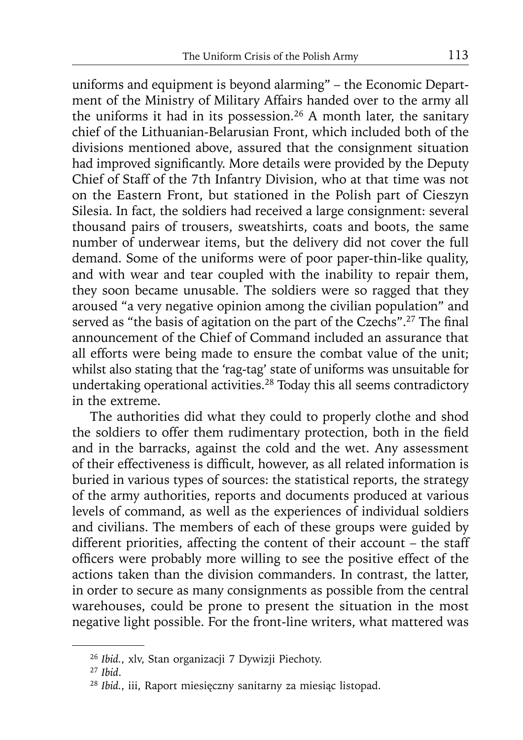uniforms and equipment is beyond alarming" – the Economic Department of the Ministry of Military Affairs handed over to the army all the uniforms it had in its possession.<sup>26</sup> A month later, the sanitary chief of the Lithuanian-Belarusian Front, which included both of the divisions mentioned above, assured that the consignment situation had improved significantly. More details were provided by the Deputy Chief of Staff of the 7th Infantry Division, who at that time was not on the Eastern Front, but stationed in the Polish part of Cieszyn Silesia. In fact, the soldiers had received a large consignment: several thousand pairs of trousers, sweatshirts, coats and boots, the same number of underwear items, but the delivery did not cover the full demand. Some of the uniforms were of poor paper-thin-like quality, and with wear and tear coupled with the inability to repair them, they soon became unusable. The soldiers were so ragged that they aroused "a very negative opinion among the civilian population" and served as "the basis of agitation on the part of the Czechs".<sup>27</sup> The final announcement of the Chief of Command included an assurance that all efforts were being made to ensure the combat value of the unit; whilst also stating that the 'rag-tag' state of uniforms was unsuitable for undertaking operational activities.28 Today this all seems contradictory in the extreme.

The authorities did what they could to properly clothe and shod the soldiers to offer them rudimentary protection, both in the field and in the barracks, against the cold and the wet. Any assessment of their effectiveness is difficult, however, as all related information is buried in various types of sources: the statistical reports, the strategy of the army authorities, reports and documents produced at various levels of command, as well as the experiences of individual soldiers and civilians. The members of each of these groups were guided by different priorities, affecting the content of their account – the staff officers were probably more willing to see the positive effect of the actions taken than the division commanders. In contrast, the latter, in order to secure as many consignments as possible from the central warehouses, could be prone to present the situation in the most negative light possible. For the front-line writers, what mattered was

<sup>26</sup>*Ibid.*, xlv, Stan organizacji 7 Dywizji Piechoty.

<sup>27</sup>*Ibid*.

<sup>28</sup> *Ibid.*, iii, Raport miesięczny sanitarny za miesiąc listopad.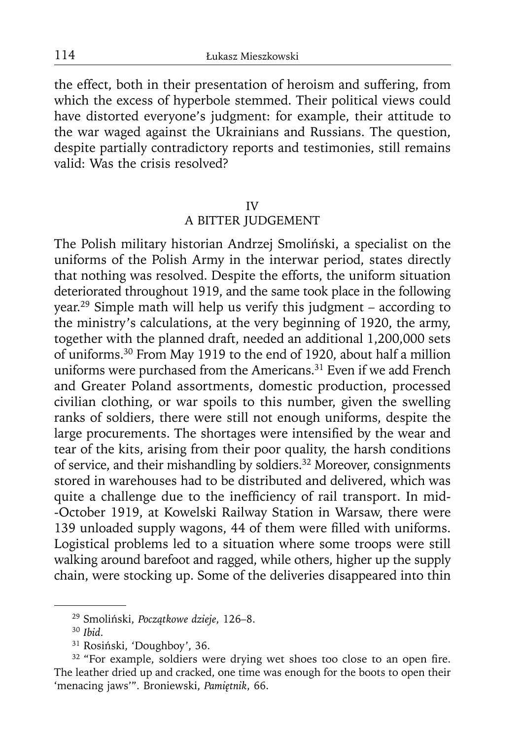the effect, both in their presentation of heroism and suffering, from which the excess of hyperbole stemmed. Their political views could have distorted everyone's judgment: for example, their attitude to the war waged against the Ukrainians and Russians. The question, despite partially contradictory reports and testimonies, still remains valid: Was the crisis resolved?

#### IV

### A BITTER JUDGEMENT

The Polish military historian Andrzej Smoliński, a specialist on the uniforms of the Polish Army in the interwar period, states directly that nothing was resolved. Despite the efforts, the uniform situation deteriorated throughout 1919, and the same took place in the following year.29 Simple math will help us verify this judgment – according to the ministry's calculations, at the very beginning of 1920, the army, together with the planned draft, needed an additional 1,200,000 sets of uniforms.30 From May 1919 to the end of 1920, about half a million uniforms were purchased from the Americans.<sup>31</sup> Even if we add French and Greater Poland assortments, domestic production, processed civilian clothing, or war spoils to this number, given the swelling ranks of soldiers, there were still not enough uniforms, despite the large procurements. The shortages were intensified by the wear and tear of the kits, arising from their poor quality, the harsh conditions of service, and their mishandling by soldiers.<sup>32</sup> Moreover, consignments stored in warehouses had to be distributed and delivered, which was quite a challenge due to the inefficiency of rail transport. In mid--October 1919, at Kowelski Railway Station in Warsaw, there were 139 unloaded supply wagons, 44 of them were filled with uniforms. Logistical problems led to a situation where some troops were still walking around barefoot and ragged, while others, higher up the supply chain, were stocking up. Some of the deliveries disappeared into thin

<sup>29</sup> Smoliński, *Początkowe dzieje*, 126–8.

<sup>30</sup>*Ibid*.

<sup>31</sup> Rosiński, 'Doughboy', 36.

<sup>&</sup>lt;sup>32</sup> "For example, soldiers were drying wet shoes too close to an open fire. The leather dried up and cracked, one time was enough for the boots to open their 'menacing jaws'". Broniewski, *Pamiętnik*, 66.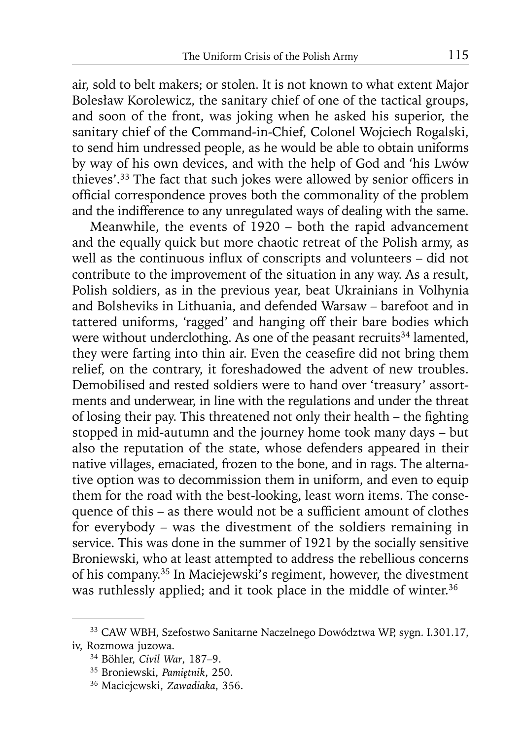air, sold to belt makers; or stolen. It is not known to what extent Major Bolesław Korolewicz, the sanitary chief of one of the tactical groups, and soon of the front, was joking when he asked his superior, the sanitary chief of the Command-in-Chief, Colonel Wojciech Rogalski, to send him undressed people, as he would be able to obtain uniforms by way of his own devices, and with the help of God and 'his Lwów thieves'.<sup>33</sup> The fact that such jokes were allowed by senior officers in official correspondence proves both the commonality of the problem and the indifference to any unregulated ways of dealing with the same.

Meanwhile, the events of 1920 – both the rapid advancement and the equally quick but more chaotic retreat of the Polish army, as well as the continuous influx of conscripts and volunteers  $-$  did not contribute to the improvement of the situation in any way. As a result, Polish soldiers, as in the previous year, beat Ukrainians in Volhynia and Bolsheviks in Lithuania, and defended Warsaw – barefoot and in tattered uniforms, 'ragged' and hanging off their bare bodies which were without underclothing. As one of the peasant recruits<sup>34</sup> lamented, they were farting into thin air. Even the ceasefire did not bring them relief, on the contrary, it foreshadowed the advent of new troubles. Demobilised and rested soldiers were to hand over 'treasury' assortments and underwear, in line with the regulations and under the threat of losing their pay. This threatened not only their health – the fighting stopped in mid-autumn and the journey home took many days – but also the reputation of the state, whose defenders appeared in their native villages, emaciated, frozen to the bone, and in rags. The alternative option was to decommission them in uniform, and even to equip them for the road with the best-looking, least worn items. The consequence of this – as there would not be a sufficient amount of clothes for everybody – was the divestment of the soldiers remaining in service. This was done in the summer of 1921 by the socially sensitive Broniewski, who at least attempted to address the rebellious concerns of his company.35 In Maciejewski's regiment, however, the divestment was ruthlessly applied; and it took place in the middle of winter.<sup>36</sup>

<sup>33</sup> CAW WBH, Szefostwo Sanitarne Naczelnego Dowództwa WP, sygn. I.301.17, iv, Rozmowa juzowa.

<sup>34</sup> Böhler, *Civil War*, 187–9.

<sup>35</sup> Broniewski, *Pamiętnik*, 250.

<sup>36</sup> Maciejewski, *Zawadiaka*, 356.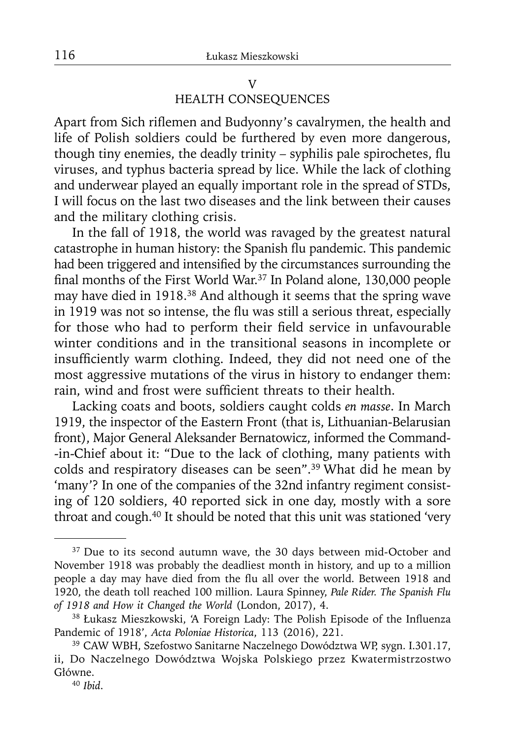# V HEALTH CONSEQUENCES

Apart from Sich riflemen and Budyonny's cavalrymen, the health and life of Polish soldiers could be furthered by even more dangerous, though tiny enemies, the deadly trinity – syphilis pale spirochetes, flu viruses, and typhus bacteria spread by lice. While the lack of clothing and underwear played an equally important role in the spread of STDs, I will focus on the last two diseases and the link between their causes and the military clothing crisis.

In the fall of 1918, the world was ravaged by the greatest natural catastrophe in human history: the Spanish flu pandemic. This pandemic had been triggered and intensified by the circumstances surrounding the final months of the First World War.<sup>37</sup> In Poland alone, 130,000 people may have died in 1918.38 And although it seems that the spring wave in 1919 was not so intense, the flu was still a serious threat, especially for those who had to perform their field service in unfavourable winter conditions and in the transitional seasons in incomplete or insufficiently warm clothing. Indeed, they did not need one of the most aggressive mutations of the virus in history to endanger them: rain, wind and frost were sufficient threats to their health.

Lacking coats and boots, soldiers caught colds *en masse*. In March 1919, the inspector of the Eastern Front (that is, Lithuanian-Belarusian front), Major General Aleksander Bernatowicz, informed the Command- -in-Chief about it: "Due to the lack of clothing, many patients with colds and respiratory diseases can be seen".39 What did he mean by 'many'? In one of the companies of the 32nd infantry regiment consisting of 120 soldiers, 40 reported sick in one day, mostly with a sore throat and cough.40 It should be noted that this unit was stationed 'very

<sup>&</sup>lt;sup>37</sup> Due to its second autumn wave, the 30 days between mid-October and November 1918 was probably the deadliest month in history, and up to a million people a day may have died from the flu all over the world. Between 1918 and 1920, the death toll reached 100 million. Laura Spinney, *Pale Rider. The Spanish Flu of 1918 and How it Changed the World* (London, 2017), 4.

<sup>&</sup>lt;sup>38</sup> Łukasz Mieszkowski, 'A Foreign Lady: The Polish Episode of the Influenza Pandemic of 1918', *Acta Poloniae Historica*, 113 (2016), 221.

<sup>39</sup> CAW WBH, Szefostwo Sanitarne Naczelnego Dowództwa WP, sygn. I.301.17, ii, Do Naczelnego Dowództwa Wojska Polskiego przez Kwatermistrzostwo Główne.

<sup>40</sup> *Ibid*.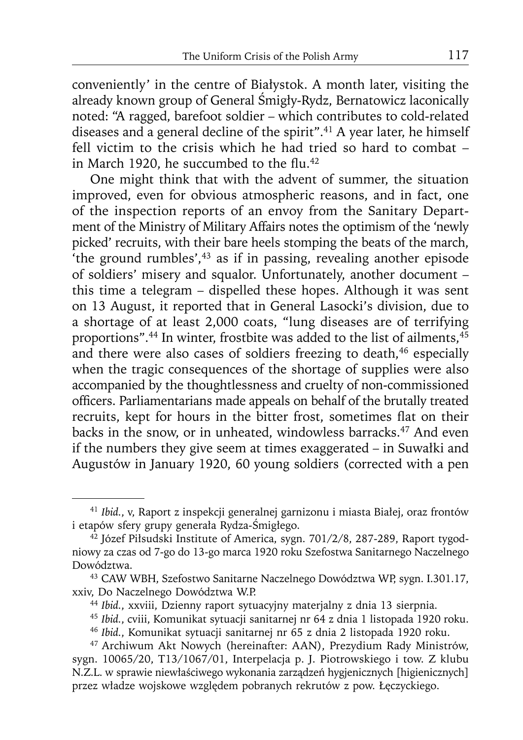conveniently' in the centre of Białystok. A month later, visiting the already known group of General Śmigły-Rydz, Bernatowicz laconically noted: "A ragged, barefoot soldier – which contributes to cold-related diseases and a general decline of the spirit".<sup>41</sup> A year later, he himself fell victim to the crisis which he had tried so hard to combat – in March 1920, he succumbed to the flu.<sup>42</sup>

One might think that with the advent of summer, the situation improved, even for obvious atmospheric reasons, and in fact, one of the inspection reports of an envoy from the Sanitary Department of the Ministry of Military Affairs notes the optimism of the 'newly picked' recruits, with their bare heels stomping the beats of the march, the ground rumbles', $43$  as if in passing, revealing another episode of soldiers' misery and squalor. Unfortunately, another document – this time a telegram – dispelled these hopes. Although it was sent on 13 August, it reported that in General Lasocki's division, due to a shortage of at least 2,000 coats, "lung diseases are of terrifying proportions".<sup>44</sup> In winter, frostbite was added to the list of ailments,<sup>45</sup> and there were also cases of soldiers freezing to death,<sup>46</sup> especially when the tragic consequences of the shortage of supplies were also accompanied by the thoughtlessness and cruelty of non-commissioned officers. Parliamentarians made appeals on behalf of the brutally treated recruits, kept for hours in the bitter frost, sometimes flat on their backs in the snow, or in unheated, windowless barracks.<sup>47</sup> And even if the numbers they give seem at times exaggerated – in Suwałki and Augustów in January 1920, 60 young soldiers (corrected with a pen

<sup>41</sup>*Ibid.*, v, Raport z inspekcji generalnej garnizonu i miasta Białej, oraz frontów i etapów sfery grupy generała Rydza-Śmigłego.

<sup>&</sup>lt;sup>42</sup> Józef Piłsudski Institute of America, sygn. 701/2/8, 287-289, Raport tygodniowy za czas od 7-go do 13-go marca 1920 roku Szefostwa Sanitarnego Naczelnego Dowództwa. 43 CAW WBH, Szefostwo Sanitarne Naczelnego Dowództwa WP, sygn. I.301.17,

xxiv, Do Naczelnego Dowództwa W.P.

<sup>44</sup>*Ibid.*, xxviii, Dzienny raport sytuacyjny materjalny z dnia 13 sierpnia.

<sup>45</sup>*Ibid.*, cviii, Komunikat sytuacji sanitarnej nr 64 z dnia 1 listopada 1920 roku.

<sup>46</sup>*Ibid.*, Komunikat sytuacji sanitarnej nr 65 z dnia 2 listopada 1920 roku.

<sup>47</sup> Archiwum Akt Nowych (hereinafter: AAN), Prezydium Rady Ministrów, sygn. 10065/20, T13/1067/01, Interpelacja p. J. Piotrowskiego i tow. Z klubu N.Z.L. w sprawie niewłaściwego wykonania zarządzeń hygjenicznych [higienicznych] przez władze wojskowe względem pobranych rekrutów z pow. Łęczyckiego.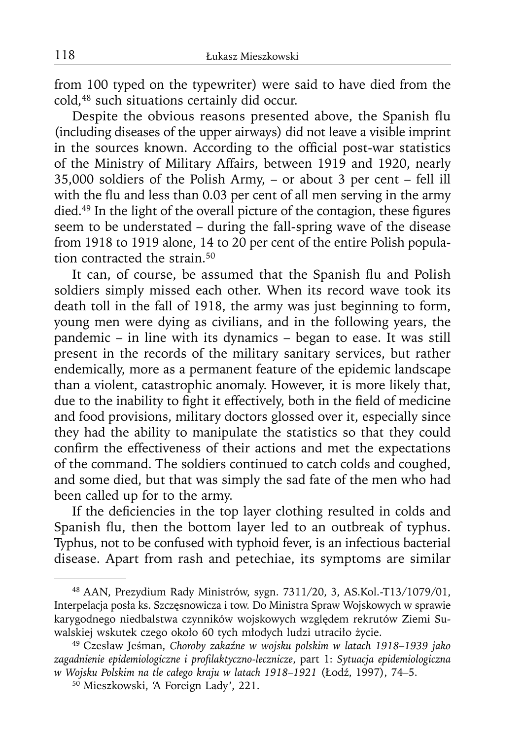from 100 typed on the typewriter) were said to have died from the cold,48 such situations certainly did occur.

Despite the obvious reasons presented above, the Spanish flu (including diseases of the upper airways) did not leave a visible imprint in the sources known. According to the official post-war statistics of the Ministry of Military Affairs, between 1919 and 1920, nearly 35,000 soldiers of the Polish Army, – or about 3 per cent – fell ill with the flu and less than 0.03 per cent of all men serving in the army died.<sup>49</sup> In the light of the overall picture of the contagion, these figures seem to be understated – during the fall-spring wave of the disease from 1918 to 1919 alone, 14 to 20 per cent of the entire Polish population contracted the strain.<sup>50</sup>

It can, of course, be assumed that the Spanish flu and Polish soldiers simply missed each other. When its record wave took its death toll in the fall of 1918, the army was just beginning to form, young men were dying as civilians, and in the following years, the pandemic – in line with its dynamics – began to ease. It was still present in the records of the military sanitary services, but rather endemically, more as a permanent feature of the epidemic landscape than a violent, catastrophic anomaly. However, it is more likely that, due to the inability to fight it effectively, both in the field of medicine and food provisions, military doctors glossed over it, especially since they had the ability to manipulate the statistics so that they could confirm the effectiveness of their actions and met the expectations of the command. The soldiers continued to catch colds and coughed, and some died, but that was simply the sad fate of the men who had been called up for to the army.

If the deficiencies in the top layer clothing resulted in colds and Spanish flu, then the bottom layer led to an outbreak of typhus. Typhus, not to be confused with typhoid fever, is an infectious bacterial disease. Apart from rash and petechiae, its symptoms are similar

<sup>48</sup> AAN, Prezydium Rady Ministrów, sygn. 7311/20, 3, AS.Kol.-T13/1079/01, Interpelacja posła ks. Szczęsnowicza i tow. Do Ministra Spraw Wojskowych w sprawie karygodnego niedbalstwa czynników wojskowych względem rekrutów Ziemi Suwalskiej wskutek czego około 60 tych młodych ludzi utraciło życie.

<sup>49</sup> Czesław Jeśman, *Choroby zakaźne w wojsku polskim w latach 1918–1939 jako zagadnienie epidemiologiczne i profi laktyczno-lecznicze*, part 1: *Sytuacja epidemiologiczna w Wojsku Polskim na tle całego kraju w latach 1918–1921* (Łodź, 1997), 74–5.

<sup>50</sup> Mieszkowski, 'A Foreign Lady', 221.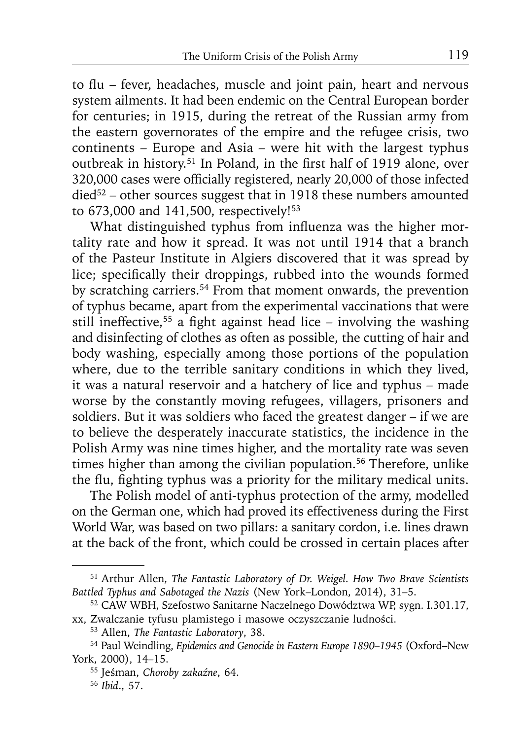to flu – fever, headaches, muscle and joint pain, heart and nervous system ailments. It had been endemic on the Central European border for centuries; in 1915, during the retreat of the Russian army from the eastern governorates of the empire and the refugee crisis, two continents – Europe and Asia – were hit with the largest typhus outbreak in history.<sup>51</sup> In Poland, in the first half of 1919 alone, over 320,000 cases were officially registered, nearly 20,000 of those infected died<sup>52</sup> – other sources suggest that in 1918 these numbers amounted to 673,000 and 141,500, respectively!<sup>53</sup>

What distinguished typhus from influenza was the higher mortality rate and how it spread. It was not until 1914 that a branch of the Pasteur Institute in Algiers discovered that it was spread by lice; specifically their droppings, rubbed into the wounds formed by scratching carriers.54 From that moment onwards, the prevention of typhus became, apart from the experimental vaccinations that were still ineffective,<sup>55</sup> a fight against head lice – involving the washing and disinfecting of clothes as often as possible, the cutting of hair and body washing, especially among those portions of the population where, due to the terrible sanitary conditions in which they lived, it was a natural reservoir and a hatchery of lice and typhus – made worse by the constantly moving refugees, villagers, prisoners and soldiers. But it was soldiers who faced the greatest danger – if we are to believe the desperately inaccurate statistics, the incidence in the Polish Army was nine times higher, and the mortality rate was seven times higher than among the civilian population.<sup>56</sup> Therefore, unlike the flu, fighting typhus was a priority for the military medical units.

The Polish model of anti-typhus protection of the army, modelled on the German one, which had proved its effectiveness during the First World War, was based on two pillars: a sanitary cordon, i.e. lines drawn at the back of the front, which could be crossed in certain places after

<sup>51</sup> Arthur Allen, *The Fantastic Laboratory of Dr. Weigel. How Two Brave Scientists* 

*Battled Typhus and Sabotaged the Nazis* (New York–London, 2014), 31–5. 52 CAW WBH, Szefostwo Sanitarne Naczelnego Dowództwa WP, sygn. I.301.17, xx, Zwalczanie tyfusu plamistego i masowe oczyszczanie ludności.

<sup>53</sup> Allen, *The Fantastic Laboratory*, 38.

<sup>54</sup> Paul Weindling, *Epidemics and Genocide in Eastern Europe 1890–1945* (Oxford–New York, 2000), 14–15.

<sup>55</sup> Jeśman, *Choroby zakaźne*, 64.

<sup>56</sup> *Ibid*., 57.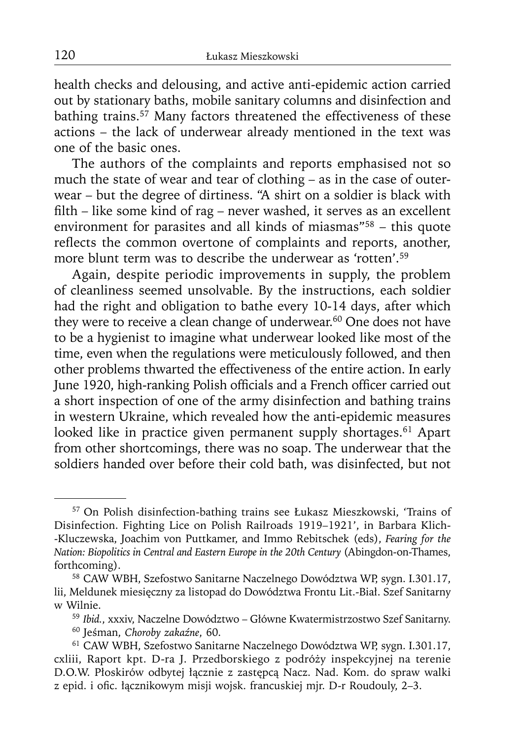health checks and delousing, and active anti-epidemic action carried out by stationary baths, mobile sanitary columns and disinfection and bathing trains.<sup>57</sup> Many factors threatened the effectiveness of these actions – the lack of underwear already mentioned in the text was one of the basic ones.

The authors of the complaints and reports emphasised not so much the state of wear and tear of clothing – as in the case of outerwear – but the degree of dirtiness. "A shirt on a soldier is black with filth – like some kind of rag – never washed, it serves as an excellent environment for parasites and all kinds of miasmas"<sup>58</sup> – this quote reflects the common overtone of complaints and reports, another, more blunt term was to describe the underwear as 'rotten'.<sup>59</sup>

Again, despite periodic improvements in supply, the problem of cleanliness seemed unsolvable. By the instructions, each soldier had the right and obligation to bathe every 10-14 days, after which they were to receive a clean change of underwear.<sup>60</sup> One does not have to be a hygienist to imagine what underwear looked like most of the time, even when the regulations were meticulously followed, and then other problems thwarted the effectiveness of the entire action. In early June 1920, high-ranking Polish officials and a French officer carried out a short inspection of one of the army disinfection and bathing trains in western Ukraine, which revealed how the anti-epidemic measures looked like in practice given permanent supply shortages.<sup>61</sup> Apart from other shortcomings, there was no soap. The underwear that the soldiers handed over before their cold bath, was disinfected, but not

<sup>57</sup> On Polish disinfection-bathing trains see Łukasz Mieszkowski, 'Trains of Disinfection. Fighting Lice on Polish Railroads 1919–1921', in Barbara Klich- -Kluczewska, Joachim von Puttkamer, and Immo Rebitschek (eds), *Fearing for the Nation: Biopolitics in Central and Eastern Europe in the 20th Century* (Abingdon-on-Thames, forthcoming).

<sup>58</sup> CAW WBH, Szefostwo Sanitarne Naczelnego Dowództwa WP, sygn. I.301.17, lii, Meldunek miesięczny za listopad do Dowództwa Frontu Lit.-Biał. Szef Sanitarny w Wilnie.

<sup>59</sup>*Ibid.*, xxxiv, Naczelne Dowództwo – Główne Kwatermistrzostwo Szef Sanitarny. 60 Jeśman, *Choroby zakaźne*, 60.

<sup>61</sup> CAW WBH, Szefostwo Sanitarne Naczelnego Dowództwa WP, sygn. I.301.17, cxliii, Raport kpt. D-ra J. Przedborskiego z podróży inspekcyjnej na terenie D.O.W. Płoskirów odbytej łącznie z zastępcą Nacz. Nad. Kom. do spraw walki z epid. i ofic. łącznikowym misji wojsk. francuskiej mjr. D-r Roudouly, 2-3.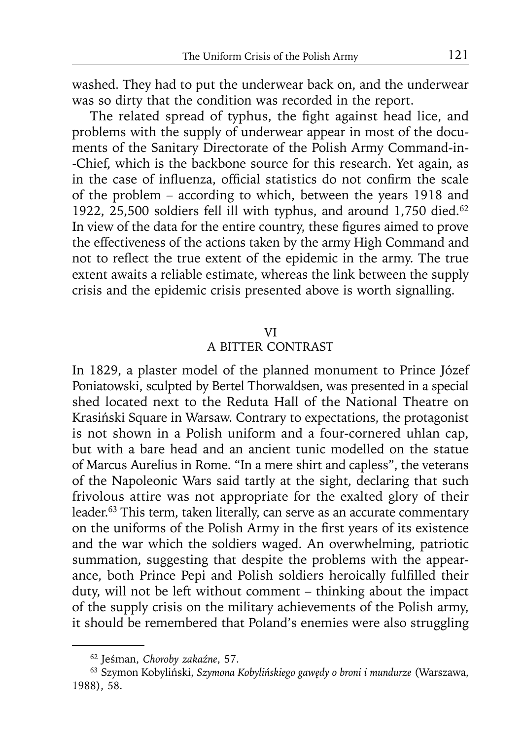washed. They had to put the underwear back on, and the underwear was so dirty that the condition was recorded in the report.

The related spread of typhus, the fight against head lice, and problems with the supply of underwear appear in most of the documents of the Sanitary Directorate of the Polish Army Command-in- -Chief, which is the backbone source for this research. Yet again, as in the case of influenza, official statistics do not confirm the scale of the problem – according to which, between the years 1918 and 1922, 25,500 soldiers fell ill with typhus, and around 1,750 died.<sup>62</sup> In view of the data for the entire country, these figures aimed to prove the effectiveness of the actions taken by the army High Command and not to reflect the true extent of the epidemic in the army. The true extent awaits a reliable estimate, whereas the link between the supply crisis and the epidemic crisis presented above is worth signalling.

#### VI

#### A BITTER CONTRAST

In 1829, a plaster model of the planned monument to Prince Józef Poniatowski, sculpted by Bertel Thorwaldsen, was presented in a special shed located next to the Reduta Hall of the National Theatre on Krasiński Square in Warsaw. Contrary to expectations, the protagonist is not shown in a Polish uniform and a four-cornered uhlan cap, but with a bare head and an ancient tunic modelled on the statue of Marcus Aurelius in Rome. "In a mere shirt and capless", the veterans of the Napoleonic Wars said tartly at the sight, declaring that such frivolous attire was not appropriate for the exalted glory of their leader.<sup>63</sup> This term, taken literally, can serve as an accurate commentary on the uniforms of the Polish Army in the first years of its existence and the war which the soldiers waged. An overwhelming, patriotic summation, suggesting that despite the problems with the appearance, both Prince Pepi and Polish soldiers heroically fulfilled their duty, will not be left without comment – thinking about the impact of the supply crisis on the military achievements of the Polish army, it should be remembered that Poland's enemies were also struggling

<sup>62</sup> Jeśman, *Choroby zakaźne*, 57.

<sup>63</sup> Szymon Kobyliński, *Szymona Kobylińskiego gawędy o broni i mundurze* (Warszawa, 1988), 58.